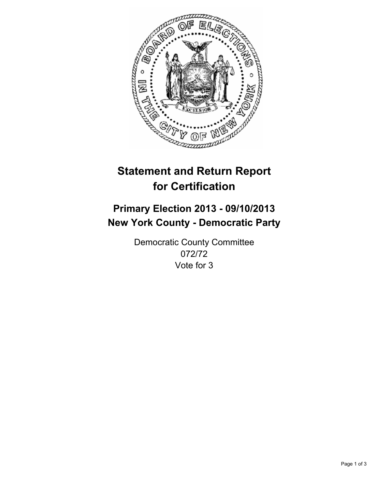

# **Statement and Return Report for Certification**

# **Primary Election 2013 - 09/10/2013 New York County - Democratic Party**

Democratic County Committee 072/72 Vote for 3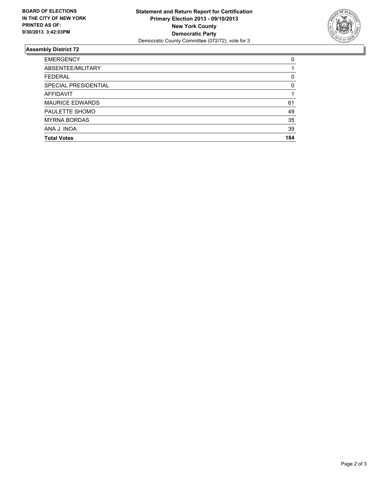

## **Assembly District 72**

| <b>EMERGENCY</b>       | 0        |
|------------------------|----------|
| ABSENTEE/MILITARY      |          |
| <b>FEDERAL</b>         | 0        |
| SPECIAL PRESIDENTIAL   | $\Omega$ |
| <b>AFFIDAVIT</b>       |          |
| <b>MAURICE EDWARDS</b> | 61       |
| PAULETTE SHOMO         | 49       |
| <b>MYRNA BORDAS</b>    | 35       |
| ANA J. INOA            | 39       |
| <b>Total Votes</b>     | 184      |